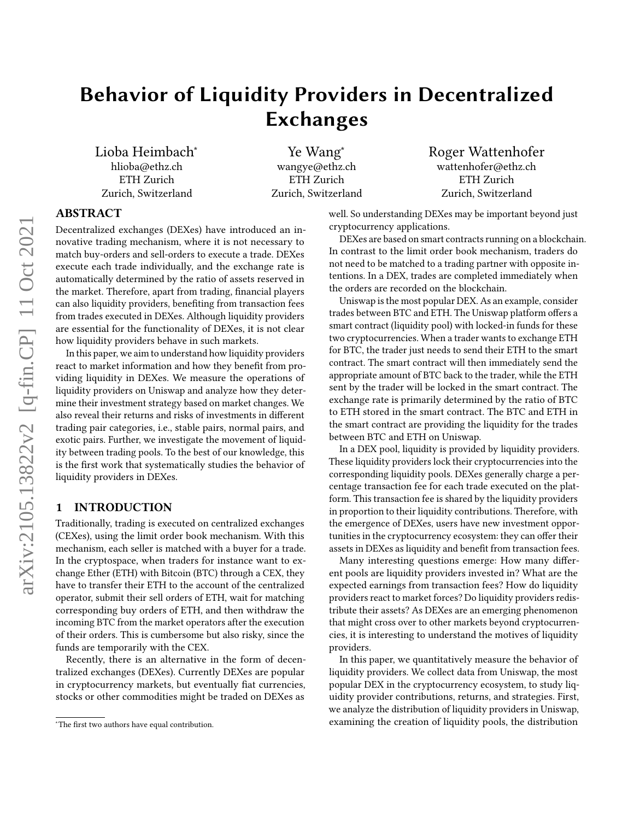# Behavior of Liquidity Providers in Decentralized Exchanges

Lioba Heimbach<sup>∗</sup> hlioba@ethz.ch ETH Zurich Zurich, Switzerland

Ye Wang<sup>∗</sup> wangye@ethz.ch ETH Zurich Zurich, Switzerland Roger Wattenhofer wattenhofer@ethz.ch ETH Zurich Zurich, Switzerland

# ABSTRACT

Decentralized exchanges (DEXes) have introduced an innovative trading mechanism, where it is not necessary to match buy-orders and sell-orders to execute a trade. DEXes execute each trade individually, and the exchange rate is automatically determined by the ratio of assets reserved in the market. Therefore, apart from trading, financial players can also liquidity providers, benefiting from transaction fees from trades executed in DEXes. Although liquidity providers are essential for the functionality of DEXes, it is not clear how liquidity providers behave in such markets.

In this paper, we aim to understand how liquidity providers react to market information and how they benefit from providing liquidity in DEXes. We measure the operations of liquidity providers on Uniswap and analyze how they determine their investment strategy based on market changes. We also reveal their returns and risks of investments in different trading pair categories, i.e., stable pairs, normal pairs, and exotic pairs. Further, we investigate the movement of liquidity between trading pools. To the best of our knowledge, this is the first work that systematically studies the behavior of liquidity providers in DEXes.

#### 1 INTRODUCTION

Traditionally, trading is executed on centralized exchanges (CEXes), using the limit order book mechanism. With this mechanism, each seller is matched with a buyer for a trade. In the cryptospace, when traders for instance want to exchange Ether (ETH) with Bitcoin (BTC) through a CEX, they have to transfer their ETH to the account of the centralized operator, submit their sell orders of ETH, wait for matching corresponding buy orders of ETH, and then withdraw the incoming BTC from the market operators after the execution of their orders. This is cumbersome but also risky, since the funds are temporarily with the CEX.

Recently, there is an alternative in the form of decentralized exchanges (DEXes). Currently DEXes are popular in cryptocurrency markets, but eventually fiat currencies, stocks or other commodities might be traded on DEXes as

well. So understanding DEXes may be important beyond just cryptocurrency applications.

DEXes are based on smart contracts running on a blockchain. In contrast to the limit order book mechanism, traders do not need to be matched to a trading partner with opposite intentions. In a DEX, trades are completed immediately when the orders are recorded on the blockchain.

Uniswap is the most popular DEX. As an example, consider trades between BTC and ETH. The Uniswap platform offers a smart contract (liquidity pool) with locked-in funds for these two cryptocurrencies. When a trader wants to exchange ETH for BTC, the trader just needs to send their ETH to the smart contract. The smart contract will then immediately send the appropriate amount of BTC back to the trader, while the ETH sent by the trader will be locked in the smart contract. The exchange rate is primarily determined by the ratio of BTC to ETH stored in the smart contract. The BTC and ETH in the smart contract are providing the liquidity for the trades between BTC and ETH on Uniswap.

In a DEX pool, liquidity is provided by liquidity providers. These liquidity providers lock their cryptocurrencies into the corresponding liquidity pools. DEXes generally charge a percentage transaction fee for each trade executed on the platform. This transaction fee is shared by the liquidity providers in proportion to their liquidity contributions. Therefore, with the emergence of DEXes, users have new investment opportunities in the cryptocurrency ecosystem: they can offer their assets in DEXes as liquidity and benefit from transaction fees.

Many interesting questions emerge: How many different pools are liquidity providers invested in? What are the expected earnings from transaction fees? How do liquidity providers react to market forces? Do liquidity providers redistribute their assets? As DEXes are an emerging phenomenon that might cross over to other markets beyond cryptocurrencies, it is interesting to understand the motives of liquidity providers.

In this paper, we quantitatively measure the behavior of liquidity providers. We collect data from Uniswap, the most popular DEX in the cryptocurrency ecosystem, to study liquidity provider contributions, returns, and strategies. First, we analyze the distribution of liquidity providers in Uniswap, examining the creation of liquidity pools, the distribution

<sup>∗</sup>The first two authors have equal contribution.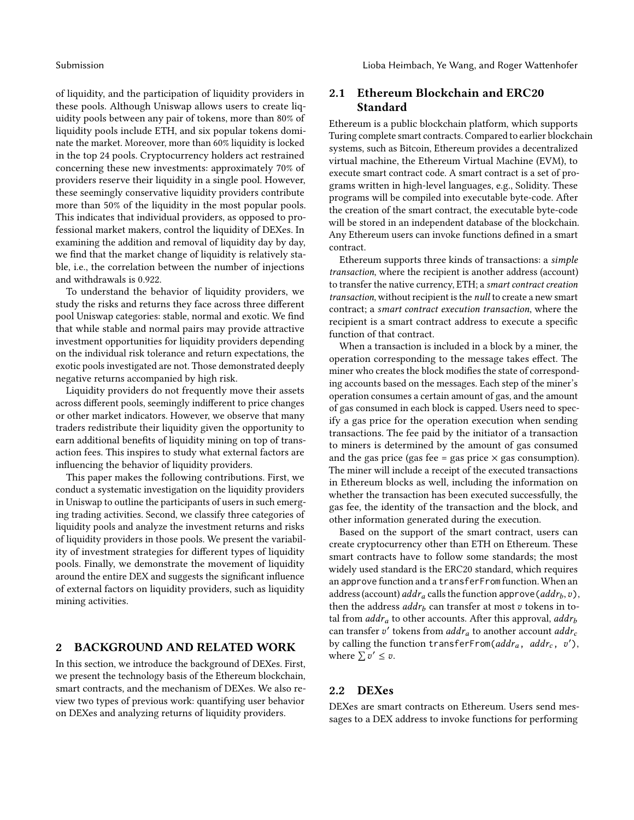Submission **Submission** Lioba Heimbach, Ye Wang, and Roger Wattenhofer

of liquidity, and the participation of liquidity providers in these pools. Although Uniswap allows users to create liquidity pools between any pair of tokens, more than 80% of liquidity pools include ETH, and six popular tokens dominate the market. Moreover, more than 60% liquidity is locked in the top 24 pools. Cryptocurrency holders act restrained concerning these new investments: approximately 70% of providers reserve their liquidity in a single pool. However, these seemingly conservative liquidity providers contribute more than 50% of the liquidity in the most popular pools. This indicates that individual providers, as opposed to professional market makers, control the liquidity of DEXes. In examining the addition and removal of liquidity day by day, we find that the market change of liquidity is relatively stable, i.e., the correlation between the number of injections and withdrawals is 0.922.

To understand the behavior of liquidity providers, we study the risks and returns they face across three different pool Uniswap categories: stable, normal and exotic. We find that while stable and normal pairs may provide attractive investment opportunities for liquidity providers depending on the individual risk tolerance and return expectations, the exotic pools investigated are not. Those demonstrated deeply negative returns accompanied by high risk.

Liquidity providers do not frequently move their assets across different pools, seemingly indifferent to price changes or other market indicators. However, we observe that many traders redistribute their liquidity given the opportunity to earn additional benefits of liquidity mining on top of transaction fees. This inspires to study what external factors are influencing the behavior of liquidity providers.

This paper makes the following contributions. First, we conduct a systematic investigation on the liquidity providers in Uniswap to outline the participants of users in such emerging trading activities. Second, we classify three categories of liquidity pools and analyze the investment returns and risks of liquidity providers in those pools. We present the variability of investment strategies for different types of liquidity pools. Finally, we demonstrate the movement of liquidity around the entire DEX and suggests the significant influence of external factors on liquidity providers, such as liquidity mining activities.

# 2 BACKGROUND AND RELATED WORK

In this section, we introduce the background of DEXes. First, we present the technology basis of the Ethereum blockchain, smart contracts, and the mechanism of DEXes. We also review two types of previous work: quantifying user behavior on DEXes and analyzing returns of liquidity providers.

# 2.1 Ethereum Blockchain and ERC20 Standard

Ethereum is a public blockchain platform, which supports Turing complete smart contracts. Compared to earlier blockchain systems, such as Bitcoin, Ethereum provides a decentralized virtual machine, the Ethereum Virtual Machine (EVM), to execute smart contract code. A smart contract is a set of programs written in high-level languages, e.g., Solidity. These programs will be compiled into executable byte-code. After the creation of the smart contract, the executable byte-code will be stored in an independent database of the blockchain. Any Ethereum users can invoke functions defined in a smart contract.

Ethereum supports three kinds of transactions: a simple transaction, where the recipient is another address (account) to transfer the native currency, ETH; a smart contract creation transaction, without recipient is the null to create a new smart contract; a smart contract execution transaction, where the recipient is a smart contract address to execute a specific function of that contract.

When a transaction is included in a block by a miner, the operation corresponding to the message takes effect. The miner who creates the block modifies the state of corresponding accounts based on the messages. Each step of the miner's operation consumes a certain amount of gas, and the amount of gas consumed in each block is capped. Users need to specify a gas price for the operation execution when sending transactions. The fee paid by the initiator of a transaction to miners is determined by the amount of gas consumed and the gas price (gas fee = gas price  $\times$  gas consumption). The miner will include a receipt of the executed transactions in Ethereum blocks as well, including the information on whether the transaction has been executed successfully, the gas fee, the identity of the transaction and the block, and other information generated during the execution.

Based on the support of the smart contract, users can create cryptocurrency other than ETH on Ethereum. These smart contracts have to follow some standards; the most widely used standard is the ERC20 standard, which requires an approve function and a transferFrom function. When an address (account)  $addr_a$  calls the function approve ( $addr_b, v$ ), then the address  $addr_b$  can transfer at most  $v$  tokens in total from  $addr_a$  to other accounts. After this approval,  $addr_b$ can transfer v' tokens from  $addr_a$  to another account  $addr_c$ by calling the function transferFrom( $addr_a$ ,  $addr_c$ ,  $v'$ ), where  $\sum v' \leq v$ .

# 2.2 DEXes

DEXes are smart contracts on Ethereum. Users send messages to a DEX address to invoke functions for performing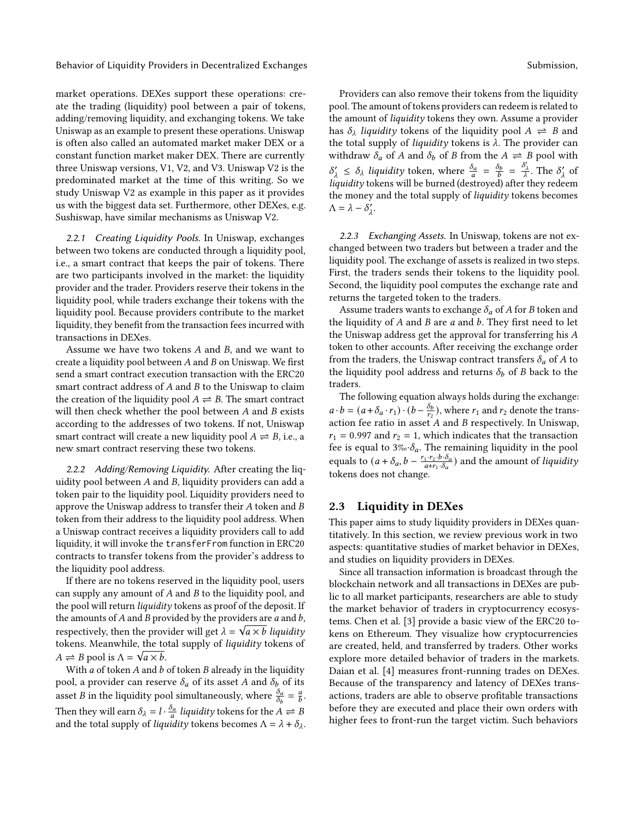market operations. DEXes support these operations: create the trading (liquidity) pool between a pair of tokens, adding/removing liquidity, and exchanging tokens. We take Uniswap as an example to present these operations. Uniswap is often also called an automated market maker DEX or a constant function market maker DEX. There are currently three Uniswap versions, V1, V2, and V3. Uniswap V2 is the predominated market at the time of this writing. So we study Uniswap V2 as example in this paper as it provides us with the biggest data set. Furthermore, other DEXes, e.g. Sushiswap, have similar mechanisms as Uniswap V2.

2.2.1 Creating Liquidity Pools. In Uniswap, exchanges between two tokens are conducted through a liquidity pool, i.e., a smart contract that keeps the pair of tokens. There are two participants involved in the market: the liquidity provider and the trader. Providers reserve their tokens in the liquidity pool, while traders exchange their tokens with the liquidity pool. Because providers contribute to the market liquidity, they benefit from the transaction fees incurred with transactions in DEXes.

Assume we have two tokens  $A$  and  $B$ , and we want to create a liquidity pool between  $A$  and  $B$  on Uniswap. We first send a smart contract execution transaction with the ERC20 smart contract address of  $A$  and  $B$  to the Uniswap to claim the creation of the liquidity pool  $A \rightleftharpoons B$ . The smart contract will then check whether the pool between  $A$  and  $B$  exists according to the addresses of two tokens. If not, Uniswap smart contract will create a new liquidity pool  $A \rightleftharpoons B$ , i.e., a new smart contract reserving these two tokens.

2.2.2 Adding/Removing Liquidity. After creating the liquidity pool between  $A$  and  $B$ , liquidity providers can add a token pair to the liquidity pool. Liquidity providers need to approve the Uniswap address to transfer their  $A$  token and  $B$ token from their address to the liquidity pool address. When a Uniswap contract receives a liquidity providers call to add liquidity, it will invoke the transferFrom function in ERC20 contracts to transfer tokens from the provider's address to the liquidity pool address.

If there are no tokens reserved in the liquidity pool, users can supply any amount of  $A$  and  $B$  to the liquidity pool, and the pool will return *liquidity* tokens as proof of the deposit. If the amounts of A and B provided by the providers are  $a$  and  $b$ , respectively, then the provider will get  $\lambda = \sqrt{a \times b}$  *liquidity* tokens. Meanwhile, the total supply of *liquidity* tokens of  $A \rightleftharpoons B$  pool is  $\Lambda = \sqrt{a \times b}$ .

With  $a$  of token  $A$  and  $b$  of token  $B$  already in the liquidity pool, a provider can reserve  $\delta_a$  of its asset  $A$  and  $\delta_b$  of its asset *B* in the liquidity pool simultaneously, where  $\frac{\delta_a}{\delta_b} = \frac{a}{b}$ . Then they will earn  $\delta_{\lambda} = l \cdot \frac{\delta_a}{a}$  liquidity tokens for the  $A \rightleftharpoons B$ and the total supply of *liquidity* tokens becomes  $\Lambda = \lambda + \delta_{\lambda}$ .

Providers can also remove their tokens from the liquidity pool. The amount of tokens providers can redeem is related to the amount of liquidity tokens they own. Assume a provider has  $\delta_{\lambda}$  liquidity tokens of the liquidity pool  $A \rightleftharpoons B$  and the total supply of *liquidity* tokens is  $\lambda$ . The provider can withdraw  $\delta_a$  of A and  $\delta_b$  of B from the  $A \rightleftharpoons B$  pool with  $\delta'_{\lambda} \leq \delta_{\lambda}$  liquidity token, where  $\frac{\delta_a}{a} = \frac{\delta_b}{b} = \frac{\delta'_{\lambda}}{\lambda}$ . The  $\delta'_{\lambda}$  of liquidity tokens will be burned (destroyed) after they redeem the money and the total supply of liquidity tokens becomes  $\Lambda = \lambda - \delta'_{\lambda}$ .

2.2.3 Exchanging Assets. In Uniswap, tokens are not exchanged between two traders but between a trader and the liquidity pool. The exchange of assets is realized in two steps. First, the traders sends their tokens to the liquidity pool. Second, the liquidity pool computes the exchange rate and returns the targeted token to the traders.

Assume traders wants to exchange  $\delta_a$  of A for B token and the liquidity of  $A$  and  $B$  are  $a$  and  $b$ . They first need to let the Uniswap address get the approval for transferring his  $A$ token to other accounts. After receiving the exchange order from the traders, the Uniswap contract transfers  $\delta_a$  of A to the liquidity pool address and returns  $\delta_b$  of *B* back to the traders.

The following equation always holds during the exchange:  $a \cdot b = (a + \delta_a \cdot r_1) \cdot (b - \frac{\delta_b}{r_2})$  $\frac{\delta_b}{r_2}$ ), where  $r_1$  and  $r_2$  denote the transaction fee ratio in asset  $A$  and  $B$  respectively. In Uniswap,  $r_1$  = 0.997 and  $r_2$  = 1, which indicates that the transaction fee is equal to  $3\% \cdot \delta_a$ . The remaining liquidity in the pool equals to  $(a + \delta_a, b - \frac{r_1 \cdot r_2 \cdot b \cdot \delta_a}{a + r_1 \cdot \delta_a})$  and the amount of *liquidity* tokens does not change.

#### 2.3 Liquidity in DEXes

This paper aims to study liquidity providers in DEXes quantitatively. In this section, we review previous work in two aspects: quantitative studies of market behavior in DEXes, and studies on liquidity providers in DEXes.

Since all transaction information is broadcast through the blockchain network and all transactions in DEXes are public to all market participants, researchers are able to study the market behavior of traders in cryptocurrency ecosystems. Chen et al. [\[3\]](#page-12-0) provide a basic view of the ERC20 tokens on Ethereum. They visualize how cryptocurrencies are created, held, and transferred by traders. Other works explore more detailed behavior of traders in the markets. Daian et al. [\[4\]](#page-12-1) measures front-running trades on DEXes. Because of the transparency and latency of DEXes transactions, traders are able to observe profitable transactions before they are executed and place their own orders with higher fees to front-run the target victim. Such behaviors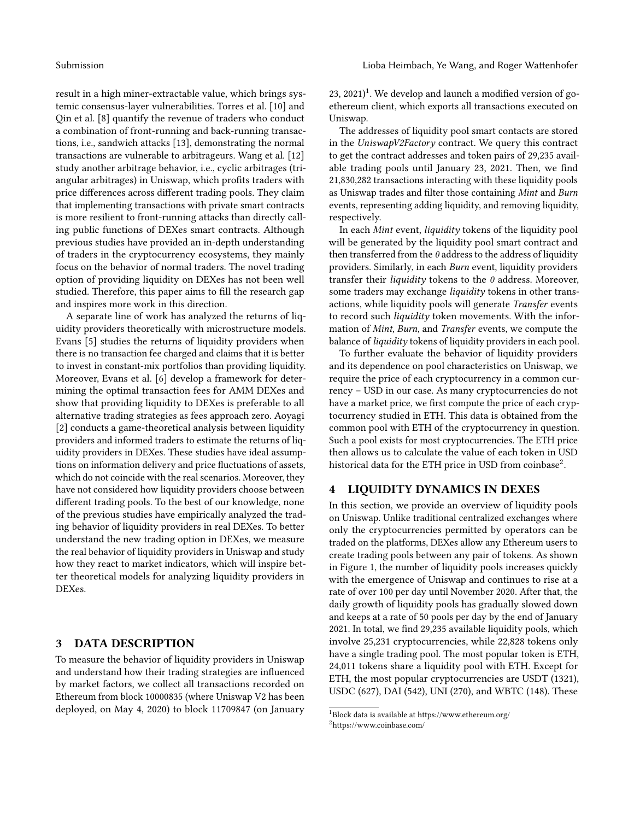result in a high miner-extractable value, which brings systemic consensus-layer vulnerabilities. Torres et al. [\[10\]](#page-12-2) and Qin et al. [\[8\]](#page-12-3) quantify the revenue of traders who conduct a combination of front-running and back-running transactions, i.e., sandwich attacks [\[13\]](#page-12-4), demonstrating the normal transactions are vulnerable to arbitrageurs. Wang et al. [\[12\]](#page-12-5) study another arbitrage behavior, i.e., cyclic arbitrages (triangular arbitrages) in Uniswap, which profits traders with price differences across different trading pools. They claim that implementing transactions with private smart contracts is more resilient to front-running attacks than directly calling public functions of DEXes smart contracts. Although previous studies have provided an in-depth understanding of traders in the cryptocurrency ecosystems, they mainly focus on the behavior of normal traders. The novel trading option of providing liquidity on DEXes has not been well studied. Therefore, this paper aims to fill the research gap and inspires more work in this direction.

A separate line of work has analyzed the returns of liquidity providers theoretically with microstructure models. Evans [\[5\]](#page-12-6) studies the returns of liquidity providers when there is no transaction fee charged and claims that it is better to invest in constant-mix portfolios than providing liquidity. Moreover, Evans et al. [\[6\]](#page-12-7) develop a framework for determining the optimal transaction fees for AMM DEXes and show that providing liquidity to DEXes is preferable to all alternative trading strategies as fees approach zero. Aoyagi [\[2\]](#page-12-8) conducts a game-theoretical analysis between liquidity providers and informed traders to estimate the returns of liquidity providers in DEXes. These studies have ideal assumptions on information delivery and price fluctuations of assets, which do not coincide with the real scenarios. Moreover, they have not considered how liquidity providers choose between different trading pools. To the best of our knowledge, none of the previous studies have empirically analyzed the trading behavior of liquidity providers in real DEXes. To better understand the new trading option in DEXes, we measure the real behavior of liquidity providers in Uniswap and study how they react to market indicators, which will inspire better theoretical models for analyzing liquidity providers in DEXes.

#### 3 DATA DESCRIPTION

To measure the behavior of liquidity providers in Uniswap and understand how their trading strategies are influenced by market factors, we collect all transactions recorded on Ethereum from block 10000835 (where Uniswap V2 has been deployed, on May 4, 2020) to block 11709847 (on January

 $23, 2021$  $23, 2021$ <sup>1</sup>. We develop and launch a modified version of goethereum client, which exports all transactions executed on Uniswap.

The addresses of liquidity pool smart contacts are stored in the UniswapV2Factory contract. We query this contract to get the contract addresses and token pairs of 29,235 available trading pools until January 23, 2021. Then, we find 21,830,282 transactions interacting with these liquidity pools as Uniswap trades and filter those containing Mint and Burn events, representing adding liquidity, and removing liquidity, respectively.

In each Mint event, liquidity tokens of the liquidity pool will be generated by the liquidity pool smart contract and then transferred from the  $0$  address to the address of liquidity providers. Similarly, in each Burn event, liquidity providers transfer their *liquidity* tokens to the  $0$  address. Moreover, some traders may exchange *liquidity* tokens in other transactions, while liquidity pools will generate Transfer events to record such liquidity token movements. With the information of Mint, Burn, and Transfer events, we compute the balance of liquidity tokens of liquidity providers in each pool.

To further evaluate the behavior of liquidity providers and its dependence on pool characteristics on Uniswap, we require the price of each cryptocurrency in a common currency – USD in our case. As many cryptocurrencies do not have a market price, we first compute the price of each cryptocurrency studied in ETH. This data is obtained from the common pool with ETH of the cryptocurrency in question. Such a pool exists for most cryptocurrencies. The ETH price then allows us to calculate the value of each token in USD historical data for the ETH price in USD from coinbase $^2$  $^2$ .

#### 4 LIQUIDITY DYNAMICS IN DEXES

In this section, we provide an overview of liquidity pools on Uniswap. Unlike traditional centralized exchanges where only the cryptocurrencies permitted by operators can be traded on the platforms, DEXes allow any Ethereum users to create trading pools between any pair of tokens. As shown in [Figure 1,](#page-4-0) the number of liquidity pools increases quickly with the emergence of Uniswap and continues to rise at a rate of over 100 per day until November 2020. After that, the daily growth of liquidity pools has gradually slowed down and keeps at a rate of 50 pools per day by the end of January 2021. In total, we find 29,235 available liquidity pools, which involve 25,231 cryptocurrencies, while 22,828 tokens only have a single trading pool. The most popular token is ETH, 24,011 tokens share a liquidity pool with ETH. Except for ETH, the most popular cryptocurrencies are USDT (1321), USDC (627), DAI (542), UNI (270), and WBTC (148). These

<span id="page-3-1"></span><span id="page-3-0"></span><sup>1</sup>Block data is available at https://www.ethereum.org/ <sup>2</sup>https://www.coinbase.com/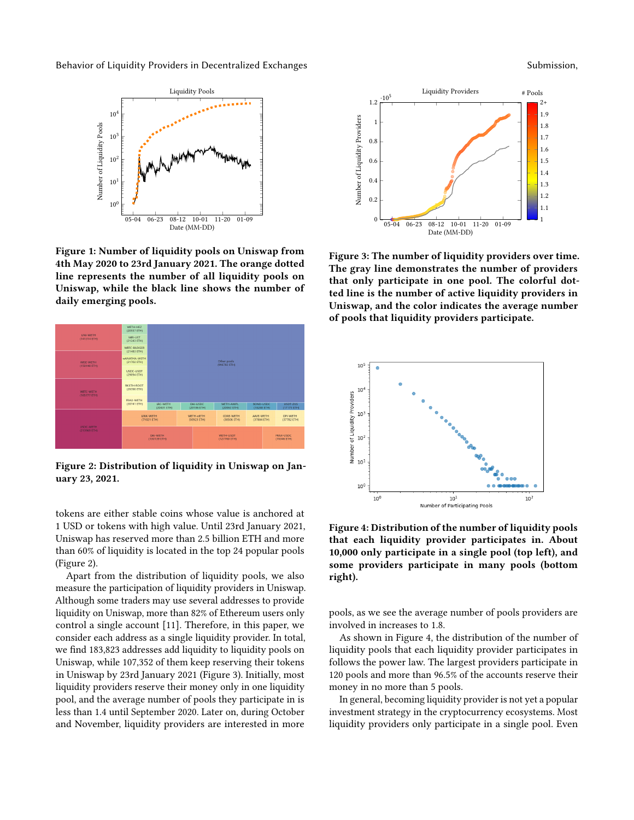<span id="page-4-0"></span>

Figure 1: Number of liquidity pools on Uniswap from 4th May 2020 to 23rd January 2021. The orange dotted line represents the number of all liquidity pools on Uniswap, while the black line shows the number of daily emerging pools.

<span id="page-4-1"></span>

Figure 2: Distribution of liquidity in Uniswap on January 23, 2021.

tokens are either stable coins whose value is anchored at 1 USD or tokens with high value. Until 23rd January 2021, Uniswap has reserved more than 2.5 billion ETH and more than 60% of liquidity is located in the top 24 popular pools [\(Figure 2\)](#page-4-1).

Apart from the distribution of liquidity pools, we also measure the participation of liquidity providers in Uniswap. Although some traders may use several addresses to provide liquidity on Uniswap, more than 82% of Ethereum users only control a single account [\[11\]](#page-12-9). Therefore, in this paper, we consider each address as a single liquidity provider. In total, we find 183,823 addresses add liquidity to liquidity pools on Uniswap, while 107,352 of them keep reserving their tokens in Uniswap by 23rd January 2021 [\(Figure 3\)](#page-4-2). Initially, most liquidity providers reserve their money only in one liquidity pool, and the average number of pools they participate in is less than 1.4 until September 2020. Later on, during October and November, liquidity providers are interested in more

<span id="page-4-2"></span>

Figure 3: The number of liquidity providers over time. The gray line demonstrates the number of providers that only participate in one pool. The colorful dotted line is the number of active liquidity providers in Uniswap, and the color indicates the average number of pools that liquidity providers participate.

<span id="page-4-3"></span>

Figure 4: Distribution of the number of liquidity pools that each liquidity provider participates in. About 10,000 only participate in a single pool (top left), and some providers participate in many pools (bottom right).

pools, as we see the average number of pools providers are involved in increases to 1.8.

As shown in [Figure 4,](#page-4-3) the distribution of the number of liquidity pools that each liquidity provider participates in follows the power law. The largest providers participate in 120 pools and more than 96.5% of the accounts reserve their money in no more than 5 pools.

In general, becoming liquidity provider is not yet a popular investment strategy in the cryptocurrency ecosystems. Most liquidity providers only participate in a single pool. Even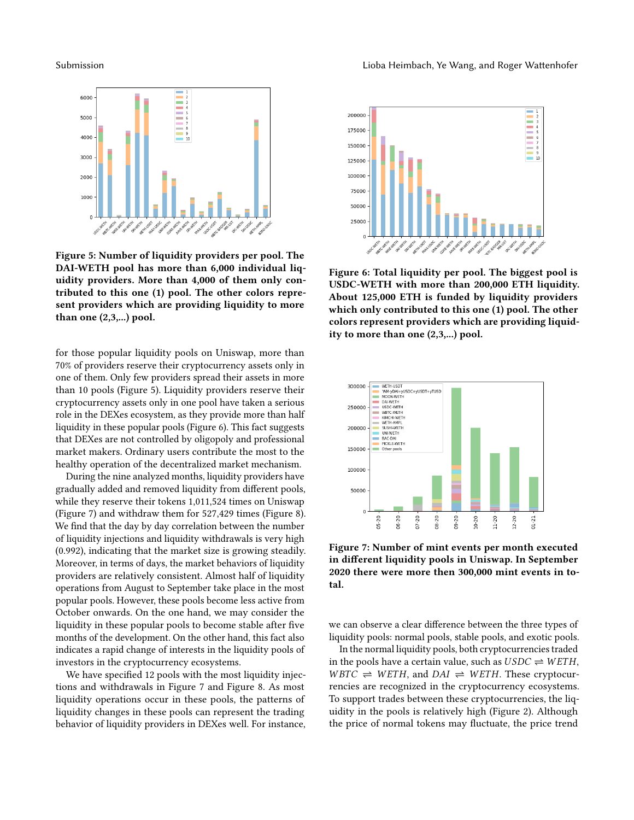<span id="page-5-0"></span>

Figure 5: Number of liquidity providers per pool. The DAI-WETH pool has more than 6,000 individual liquidity providers. More than 4,000 of them only contributed to this one (1) pool. The other colors represent providers which are providing liquidity to more than one (2,3,...) pool.

for those popular liquidity pools on Uniswap, more than 70% of providers reserve their cryptocurrency assets only in one of them. Only few providers spread their assets in more than 10 pools [\(Figure 5\)](#page-5-0). Liquidity providers reserve their cryptocurrency assets only in one pool have taken a serious role in the DEXes ecosystem, as they provide more than half liquidity in these popular pools [\(Figure 6\)](#page-5-1). This fact suggests that DEXes are not controlled by oligopoly and professional market makers. Ordinary users contribute the most to the healthy operation of the decentralized market mechanism.

During the nine analyzed months, liquidity providers have gradually added and removed liquidity from different pools, while they reserve their tokens 1,011,524 times on Uniswap [\(Figure 7\)](#page-5-2) and withdraw them for 527,429 times [\(Figure 8\)](#page-6-0). We find that the day by day correlation between the number of liquidity injections and liquidity withdrawals is very high (0.992), indicating that the market size is growing steadily. Moreover, in terms of days, the market behaviors of liquidity providers are relatively consistent. Almost half of liquidity operations from August to September take place in the most popular pools. However, these pools become less active from October onwards. On the one hand, we may consider the liquidity in these popular pools to become stable after five months of the development. On the other hand, this fact also indicates a rapid change of interests in the liquidity pools of investors in the cryptocurrency ecosystems.

We have specified 12 pools with the most liquidity injections and withdrawals in [Figure 7](#page-5-2) and [Figure 8.](#page-6-0) As most liquidity operations occur in these pools, the patterns of liquidity changes in these pools can represent the trading behavior of liquidity providers in DEXes well. For instance,

<span id="page-5-1"></span>

Figure 6: Total liquidity per pool. The biggest pool is USDC-WETH with more than 200,000 ETH liquidity. About 125,000 ETH is funded by liquidity providers which only contributed to this one (1) pool. The other colors represent providers which are providing liquidity to more than one (2,3,...) pool.

<span id="page-5-2"></span>

Figure 7: Number of mint events per month executed in different liquidity pools in Uniswap. In September 2020 there were more then 300,000 mint events in total.

we can observe a clear difference between the three types of liquidity pools: normal pools, stable pools, and exotic pools.

In the normal liquidity pools, both cryptocurrencies traded in the pools have a certain value, such as  $USDC \rightleftharpoons WETH$ ,  $WBTC \rightleftharpoons WETH$ , and  $DAI \rightleftharpoons WETH$ . These cryptocurrencies are recognized in the cryptocurrency ecosystems. To support trades between these cryptocurrencies, the liquidity in the pools is relatively high [\(Figure 2\)](#page-4-1). Although the price of normal tokens may fluctuate, the price trend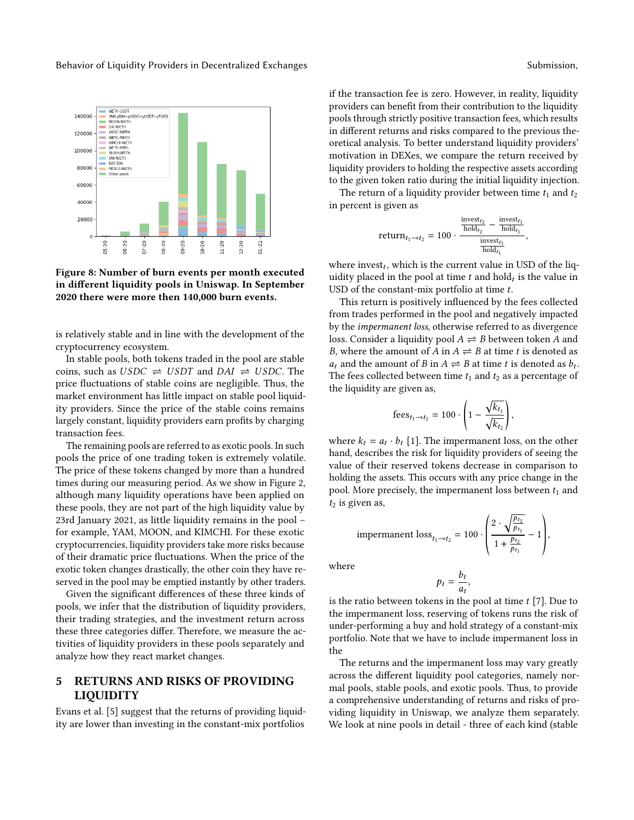<span id="page-6-0"></span>

Figure 8: Number of burn events per month executed in different liquidity pools in Uniswap. In September 2020 there were more then 140,000 burn events.

is relatively stable and in line with the development of the cryptocurrency ecosystem.

In stable pools, both tokens traded in the pool are stable coins, such as  $USDC \rightleftharpoons USDT$  and  $DAI \rightleftharpoons USDC$ . The price fluctuations of stable coins are negligible. Thus, the market environment has little impact on stable pool liquidity providers. Since the price of the stable coins remains largely constant, liquidity providers earn profits by charging transaction fees.

The remaining pools are referred to as exotic pools. In such pools the price of one trading token is extremely volatile. The price of these tokens changed by more than a hundred times during our measuring period. As we show in [Figure 2,](#page-4-1) although many liquidity operations have been applied on these pools, they are not part of the high liquidity value by 23rd January 2021, as little liquidity remains in the pool – for example, YAM, MOON, and KIMCHI. For these exotic cryptocurrencies, liquidity providers take more risks because of their dramatic price fluctuations. When the price of the exotic token changes drastically, the other coin they have reserved in the pool may be emptied instantly by other traders.

Given the significant differences of these three kinds of pools, we infer that the distribution of liquidity providers, their trading strategies, and the investment return across these three categories differ. Therefore, we measure the activities of liquidity providers in these pools separately and analyze how they react market changes.

# 5 RETURNS AND RISKS OF PROVIDING LIQUIDITY

Evans et al. [\[5\]](#page-12-6) suggest that the returns of providing liquidity are lower than investing in the constant-mix portfolios

if the transaction fee is zero. However, in reality, liquidity providers can benefit from their contribution to the liquidity pools through strictly positive transaction fees, which results in different returns and risks compared to the previous theoretical analysis. To better understand liquidity providers' motivation in DEXes, we compare the return received by liquidity providers to holding the respective assets according to the given token ratio during the initial liquidity injection.

The return of a liquidity provider between time  $t_1$  and  $t_2$ in percent is given as

$$
\text{return}_{t_1 \to t_2} = 100 \cdot \frac{\frac{\text{invest}_{t_2}}{\text{hold}_{t_2}} - \frac{\text{invest}_{t_1}}{\text{hold}_{t_1}}}{\frac{\text{invest}_{t_1}}{\text{hold}_{t_1}}},
$$

where invest $_t$ , which is the current value in USD of the liquidity placed in the pool at time  $t$  and hold $_t$  is the value in USD of the constant-mix portfolio at time  $t$ .

This return is positively influenced by the fees collected from trades performed in the pool and negatively impacted by the impermanent loss, otherwise referred to as divergence loss. Consider a liquidity pool  $A \rightleftharpoons B$  between token A and B, where the amount of A in  $A \rightleftharpoons B$  at time t is denoted as  $a_t$  and the amount of B in  $A \rightleftharpoons B$  at time t is denoted as  $b_t$ . The fees collected between time  $t_1$  and  $t_2$  as a percentage of the liquidity are given as,

$$
\mathrm{fees}_{t_1 \to t_2} = 100 \cdot \left(1 - \frac{\sqrt{k_{t_1}}}{\sqrt{k_{t_2}}}\right),
$$

where  $k_t = a_t \cdot b_t$  [\[1\]](#page-12-10). The impermanent loss, on the other hand, describes the risk for liquidity providers of seeing the value of their reserved tokens decrease in comparison to holding the assets. This occurs with any price change in the pool. More precisely, the impermanent loss between  $t_1$  and  $t_2$  is given as,

$$
impermannent loss_{t_1 \to t_2} = 100 \cdot \left( \frac{2 \cdot \sqrt{\frac{p_{t_2}}{p_{t_1}}}}{1 + \frac{p_{t_2}}{p_{t_1}}} - 1 \right),
$$

where

$$
p_t = \frac{b_t}{a_t},
$$

is the ratio between tokens in the pool at time  $t$  [\[7\]](#page-12-11). Due to the impermanent loss, reserving of tokens runs the risk of under-performing a buy and hold strategy of a constant-mix portfolio. Note that we have to include impermanent loss in the

The returns and the impermanent loss may vary greatly across the different liquidity pool categories, namely normal pools, stable pools, and exotic pools. Thus, to provide a comprehensive understanding of returns and risks of providing liquidity in Uniswap, we analyze them separately. We look at nine pools in detail - three of each kind (stable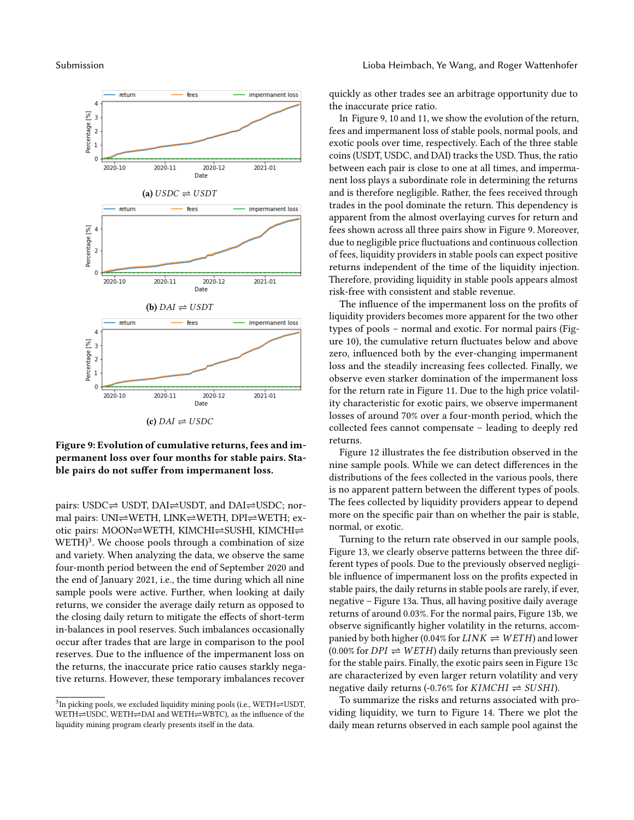<span id="page-7-1"></span>

#### Figure 9: Evolution of cumulative returns, fees and impermanent loss over four months for stable pairs. Stable pairs do not suffer from impermanent loss.

pairs: USDC⇌ USDT, DAI⇌USDT, and DAI⇌USDC; normal pairs: UNI⇌WETH, LINK⇌WETH, DPI⇌WETH; exotic pairs: MOON⇌WETH, KIMCHI⇌SUSHI, KIMCHI⇌ WETH)<sup>[3](#page-7-0)</sup>. We choose pools through a combination of size and variety. When analyzing the data, we observe the same four-month period between the end of September 2020 and the end of January 2021, i.e., the time during which all nine sample pools were active. Further, when looking at daily returns, we consider the average daily return as opposed to the closing daily return to mitigate the effects of short-term in-balances in pool reserves. Such imbalances occasionally occur after trades that are large in comparison to the pool reserves. Due to the influence of the impermanent loss on the returns, the inaccurate price ratio causes starkly negative returns. However, these temporary imbalances recover

quickly as other trades see an arbitrage opportunity due to the inaccurate price ratio.

In [Figure 9,](#page-7-1) [10](#page-8-0) and [11,](#page-8-1) we show the evolution of the return, fees and impermanent loss of stable pools, normal pools, and exotic pools over time, respectively. Each of the three stable coins (USDT, USDC, and DAI) tracks the USD. Thus, the ratio between each pair is close to one at all times, and impermanent loss plays a subordinate role in determining the returns and is therefore negligible. Rather, the fees received through trades in the pool dominate the return. This dependency is apparent from the almost overlaying curves for return and fees shown across all three pairs show in [Figure 9.](#page-7-1) Moreover, due to negligible price fluctuations and continuous collection of fees, liquidity providers in stable pools can expect positive returns independent of the time of the liquidity injection. Therefore, providing liquidity in stable pools appears almost risk-free with consistent and stable revenue.

The influence of the impermanent loss on the profits of liquidity providers becomes more apparent for the two other types of pools – normal and exotic. For normal pairs [\(Fig](#page-8-0)[ure 10\)](#page-8-0), the cumulative return fluctuates below and above zero, influenced both by the ever-changing impermanent loss and the steadily increasing fees collected. Finally, we observe even starker domination of the impermanent loss for the return rate in [Figure 11.](#page-8-1) Due to the high price volatility characteristic for exotic pairs, we observe impermanent losses of around 70% over a four-month period, which the collected fees cannot compensate – leading to deeply red returns.

[Figure 12](#page-9-0) illustrates the fee distribution observed in the nine sample pools. While we can detect differences in the distributions of the fees collected in the various pools, there is no apparent pattern between the different types of pools. The fees collected by liquidity providers appear to depend more on the specific pair than on whether the pair is stable, normal, or exotic.

Turning to the return rate observed in our sample pools, [Figure 13,](#page-9-1) we clearly observe patterns between the three different types of pools. Due to the previously observed negligible influence of impermanent loss on the profits expected in stable pairs, the daily returns in stable pools are rarely, if ever, negative – [Figure 13a.](#page-9-1) Thus, all having positive daily average returns of around 0.03%. For the normal pairs, [Figure 13b,](#page-9-1) we observe significantly higher volatility in the returns, accompanied by both higher (0.04% for  $LINK \rightleftharpoons WETH$ ) and lower  $(0.00\%$  for  $DPI \rightleftharpoons WETH$ ) daily returns than previously seen for the stable pairs. Finally, the exotic pairs seen in [Figure 13c](#page-9-1) are characterized by even larger return volatility and very negative daily returns (-0.76% for  $KIMCHI \rightleftharpoons SUBHI$ ).

To summarize the risks and returns associated with providing liquidity, we turn to [Figure 14.](#page-10-0) There we plot the daily mean returns observed in each sample pool against the

<span id="page-7-0"></span> $^3$ In picking pools, we excluded liquidity mining pools (i.e., WETH $\rightleftharpoons$ USDT, WETH⇌USDC, WETH⇌DAI and WETH⇌WBTC), as the influence of the liquidity mining program clearly presents itself in the data.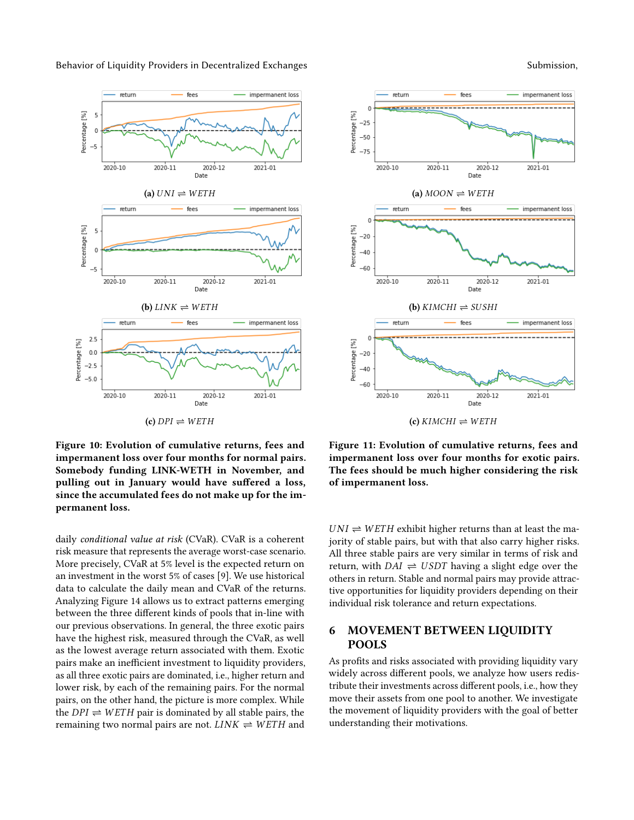<span id="page-8-0"></span>

<span id="page-8-1"></span>return fees impermanent loss  $\sqrt{2}$ --------Percentage [%]  $-25$  $-50$  $-75$ 2020-10 2020-11 2020-12 2021-01 Date (a)  $MOON \rightleftharpoons WETH$ return fees impermanent loss Percentage [%]  $-20$  $-40$  $-60$ 2020-10 2020-11 2020-12 2021-01 Date (**b**)  $KIMCHI \rightleftharpoons SUBHI$ return fees impermanent loss  $\Omega$ Percentage [%]  $-20$  $-40$  $-60$ 2020-10 2020-11 2020-12 2021-01 Date  $(c)$  KIMCHI  $\rightleftharpoons$  WETH

Figure 10: Evolution of cumulative returns, fees and impermanent loss over four months for normal pairs. Somebody funding LINK-WETH in November, and pulling out in January would have suffered a loss, since the accumulated fees do not make up for the impermanent loss.

daily conditional value at risk (CVaR). CVaR is a coherent risk measure that represents the average worst-case scenario. More precisely, CVaR at 5% level is the expected return on an investment in the worst 5% of cases [\[9\]](#page-12-12). We use historical data to calculate the daily mean and CVaR of the returns. Analyzing [Figure 14](#page-10-0) allows us to extract patterns emerging between the three different kinds of pools that in-line with our previous observations. In general, the three exotic pairs have the highest risk, measured through the CVaR, as well as the lowest average return associated with them. Exotic pairs make an inefficient investment to liquidity providers, as all three exotic pairs are dominated, i.e., higher return and lower risk, by each of the remaining pairs. For the normal pairs, on the other hand, the picture is more complex. While the  $DPI \rightleftharpoons WETH$  pair is dominated by all stable pairs, the remaining two normal pairs are not.  $LINK \rightleftharpoons WETH$  and

Figure 11: Evolution of cumulative returns, fees and impermanent loss over four months for exotic pairs. The fees should be much higher considering the risk of impermanent loss.

 $UNI \rightleftharpoons WETH$  exhibit higher returns than at least the majority of stable pairs, but with that also carry higher risks. All three stable pairs are very similar in terms of risk and return, with  $DAI \rightleftharpoons USDT$  having a slight edge over the others in return. Stable and normal pairs may provide attractive opportunities for liquidity providers depending on their individual risk tolerance and return expectations.

# 6 MOVEMENT BETWEEN LIQUIDITY POOLS

As profits and risks associated with providing liquidity vary widely across different pools, we analyze how users redistribute their investments across different pools, i.e., how they move their assets from one pool to another. We investigate the movement of liquidity providers with the goal of better understanding their motivations.

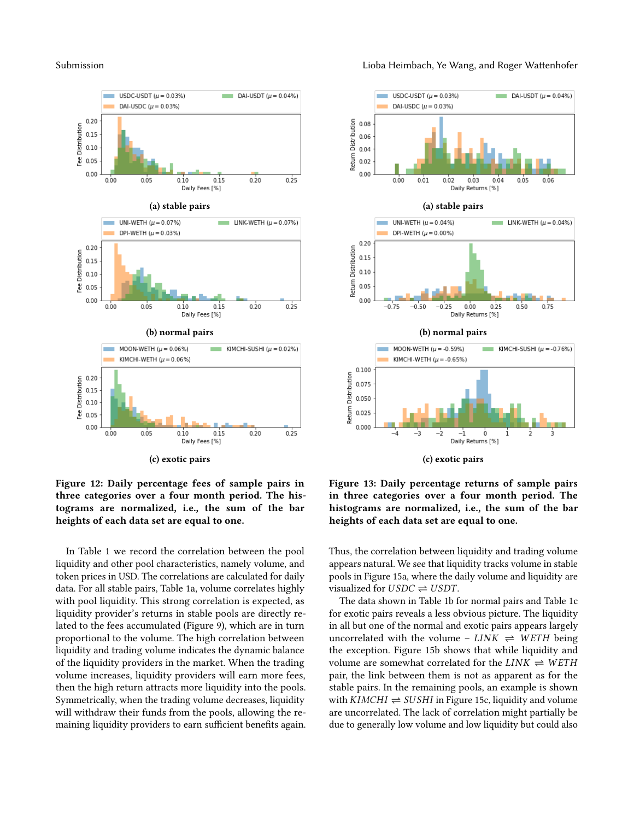<span id="page-9-0"></span>

<span id="page-9-1"></span>

Figure 12: Daily percentage fees of sample pairs in three categories over a four month period. The histograms are normalized, i.e., the sum of the bar heights of each data set are equal to one.

In [Table 1](#page-10-1) we record the correlation between the pool liquidity and other pool characteristics, namely volume, and token prices in USD. The correlations are calculated for daily data. For all stable pairs, [Table 1a,](#page-10-1) volume correlates highly with pool liquidity. This strong correlation is expected, as liquidity provider's returns in stable pools are directly related to the fees accumulated [\(Figure 9\)](#page-7-1), which are in turn proportional to the volume. The high correlation between liquidity and trading volume indicates the dynamic balance of the liquidity providers in the market. When the trading volume increases, liquidity providers will earn more fees, then the high return attracts more liquidity into the pools. Symmetrically, when the trading volume decreases, liquidity will withdraw their funds from the pools, allowing the remaining liquidity providers to earn sufficient benefits again.

Figure 13: Daily percentage returns of sample pairs in three categories over a four month period. The histograms are normalized, i.e., the sum of the bar heights of each data set are equal to one.

Thus, the correlation between liquidity and trading volume appears natural. We see that liquidity tracks volume in stable pools in [Figure 15a,](#page-10-2) where the daily volume and liquidity are visualized for  $USDC \rightleftharpoons USDT$ .

The data shown in [Table 1b](#page-10-1) for normal pairs and [Table 1c](#page-10-1) for exotic pairs reveals a less obvious picture. The liquidity in all but one of the normal and exotic pairs appears largely uncorrelated with the volume –  $LINK \rightleftharpoons WETH$  being the exception. [Figure 15b](#page-10-2) shows that while liquidity and volume are somewhat correlated for the  $LINK \rightleftharpoons WETH$ pair, the link between them is not as apparent as for the stable pairs. In the remaining pools, an example is shown with  $KIMCHI \rightleftharpoons SUBHI$  in [Figure 15c,](#page-10-2) liquidity and volume are uncorrelated. The lack of correlation might partially be due to generally low volume and low liquidity but could also

#### Submission **Submission** Lioba Heimbach, Ye Wang, and Roger Wattenhofer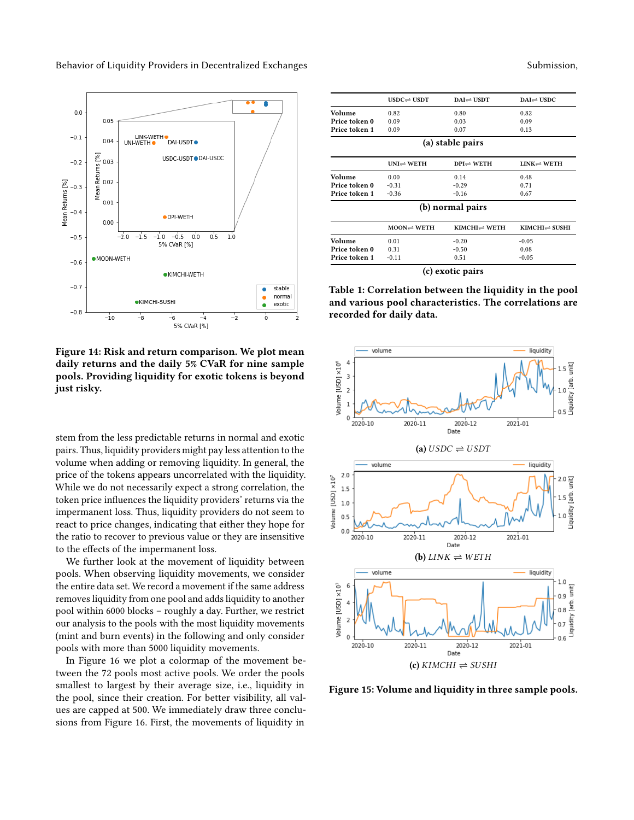<span id="page-10-0"></span>

Figure 14: Risk and return comparison. We plot mean daily returns and the daily 5% CVaR for nine sample pools. Providing liquidity for exotic tokens is beyond just risky.

stem from the less predictable returns in normal and exotic pairs. Thus, liquidity providers might pay less attention to the volume when adding or removing liquidity. In general, the price of the tokens appears uncorrelated with the liquidity. While we do not necessarily expect a strong correlation, the token price influences the liquidity providers' returns via the impermanent loss. Thus, liquidity providers do not seem to react to price changes, indicating that either they hope for the ratio to recover to previous value or they are insensitive to the effects of the impermanent loss.

We further look at the movement of liquidity between pools. When observing liquidity movements, we consider the entire data set. We record a movement if the same address removes liquidity from one pool and adds liquidity to another pool within 6000 blocks – roughly a day. Further, we restrict our analysis to the pools with the most liquidity movements (mint and burn events) in the following and only consider pools with more than 5000 liquidity movements.

In [Figure 16](#page-11-0) we plot a colormap of the movement between the 72 pools most active pools. We order the pools smallest to largest by their average size, i.e., liquidity in the pool, since their creation. For better visibility, all values are capped at 500. We immediately draw three conclusions from [Figure 16.](#page-11-0) First, the movements of liquidity in

<span id="page-10-1"></span>

| $USDC \rightleftharpoons USDT$ | $DAI \rightleftharpoons USDT$    | $DAI \rightleftharpoons USDC$        |
|--------------------------------|----------------------------------|--------------------------------------|
| 0.82                           | 0.80                             | 0.82                                 |
| 0.09                           | 0.03                             | 0.09                                 |
| 0.09                           | 0.07                             | 0.13                                 |
|                                |                                  |                                      |
| $UNI \rightleftharpoons WETH$  | $DPI \rightleftharpoons WETH$    | $LINK \rightleftharpoons WETH$       |
| 0.00                           | 0.14                             | 0.48                                 |
| $-0.31$                        | $-0.29$                          | 0.71                                 |
| $-0.36$                        | $-0.16$                          | 0.67                                 |
|                                |                                  |                                      |
| $MOON \rightleftharpoons WETH$ | $KIMCHI \rightleftharpoons WETH$ | $KIMCHI \rightleftharpoons SUSHI$    |
| 0.01                           | $-0.20$                          | $-0.05$                              |
| 0.31                           | $-0.50$                          | 0.08                                 |
| $-0.11$                        | 0.51                             | $-0.05$                              |
|                                |                                  | (a) stable pairs<br>(b) normal pairs |

(c) exotic pairs

Table 1: Correlation between the liquidity in the pool and various pool characteristics. The correlations are recorded for daily data.

<span id="page-10-2"></span>

Figure 15: Volume and liquidity in three sample pools.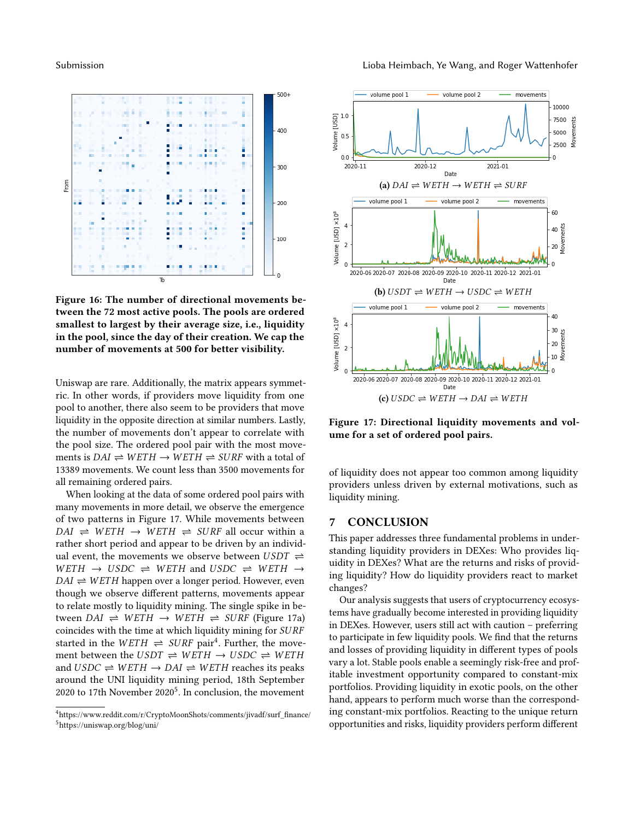<span id="page-11-0"></span>

Figure 16: The number of directional movements between the 72 most active pools. The pools are ordered smallest to largest by their average size, i.e., liquidity in the pool, since the day of their creation. We cap the number of movements at 500 for better visibility.

Uniswap are rare. Additionally, the matrix appears symmetric. In other words, if providers move liquidity from one pool to another, there also seem to be providers that move liquidity in the opposite direction at similar numbers. Lastly, the number of movements don't appear to correlate with the pool size. The ordered pool pair with the most movements is  $DAI \rightleftharpoons WETH \rightarrow WETH \rightleftharpoons SURF$  with a total of 13389 movements. We count less than 3500 movements for all remaining ordered pairs.

When looking at the data of some ordered pool pairs with many movements in more detail, we observe the emergence of two patterns in [Figure 17.](#page-11-1) While movements between  $DAI \Rightarrow WETH \Rightarrow WETH \Rightarrow SURF$  all occur within a rather short period and appear to be driven by an individual event, the movements we observe between  $USDT \rightleftharpoons$  $WETH \rightarrow USDC \rightleftharpoons WETH$  and  $USDC \rightleftharpoons WETH \rightarrow$  $DAI \rightleftharpoons WETH$  happen over a longer period. However, even though we observe different patterns, movements appear to relate mostly to liquidity mining. The single spike in between  $DAI \rightleftharpoons WETH \rightarrow WETH \rightleftharpoons SURF$  [\(Figure 17a\)](#page-11-1) coincides with the time at which liquidity mining for SURF started in the  $WETH \rightleftharpoons SURF$  pair<sup>[4](#page-11-2)</sup>. Further, the movement between the  $USDT \rightleftharpoons WETH \rightarrow USDC \rightleftharpoons WETH$ and  $USDC \rightleftharpoons WETH \rightarrow DAI \rightleftharpoons WETH$  reaches its peaks around the UNI liquidity mining period, 18th September 2020 to 17th November  $2020^5$  $2020^5$ . In conclusion, the movement

<span id="page-11-3"></span><span id="page-11-2"></span>

<span id="page-11-1"></span>

Figure 17: Directional liquidity movements and volume for a set of ordered pool pairs.

of liquidity does not appear too common among liquidity providers unless driven by external motivations, such as liquidity mining.

#### 7 CONCLUSION

This paper addresses three fundamental problems in understanding liquidity providers in DEXes: Who provides liquidity in DEXes? What are the returns and risks of providing liquidity? How do liquidity providers react to market changes?

Our analysis suggests that users of cryptocurrency ecosystems have gradually become interested in providing liquidity in DEXes. However, users still act with caution – preferring to participate in few liquidity pools. We find that the returns and losses of providing liquidity in different types of pools vary a lot. Stable pools enable a seemingly risk-free and profitable investment opportunity compared to constant-mix portfolios. Providing liquidity in exotic pools, on the other hand, appears to perform much worse than the corresponding constant-mix portfolios. Reacting to the unique return opportunities and risks, liquidity providers perform different